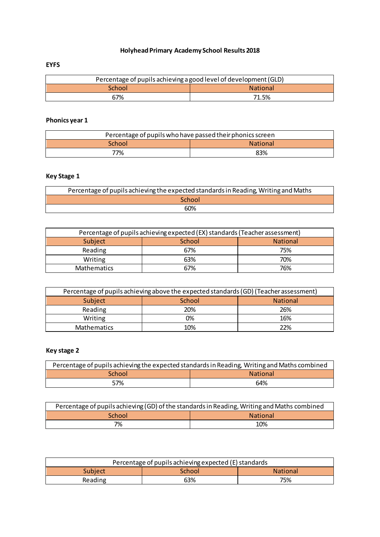## **Holyhead Primary Academy School Results 2018**

### **EYFS**

| Percentage of pupils achieving a good level of development (GLD) |       |  |
|------------------------------------------------------------------|-------|--|
| School<br><b>National</b>                                        |       |  |
| 67%                                                              | 71.5% |  |

## **Phonics year 1**

| Percentage of pupils who have passed their phonics screen |     |  |
|-----------------------------------------------------------|-----|--|
| <b>National</b><br>School                                 |     |  |
| 77%                                                       | 83% |  |

## **Key Stage 1**

| Percentage of pupils achieving the expected standards in Reading, Writing and Maths |  |
|-------------------------------------------------------------------------------------|--|
| School                                                                              |  |
| 60%                                                                                 |  |

| Percentage of pupils achieving expected (EX) standards (Teacher assessment) |        |                 |
|-----------------------------------------------------------------------------|--------|-----------------|
| Subject                                                                     | School | <b>National</b> |
| Reading                                                                     | 67%    | 75%             |
| Writing                                                                     | 63%    | 70%             |
| Mathematics                                                                 | 67%    | 76%             |

| Percentage of pupils achieving above the expected standards (GD) (Teacher assessment) |        |                 |
|---------------------------------------------------------------------------------------|--------|-----------------|
| Subject                                                                               | School | <b>National</b> |
| Reading                                                                               | 20%    | 26%             |
| Writing                                                                               | ገ%     | 16%             |
| <b>Mathematics</b>                                                                    | 10%    | 22%             |

# **Key stage 2**

| Percentage of pupils achieving the expected standards in Reading, Writing and Maths combined |     |  |
|----------------------------------------------------------------------------------------------|-----|--|
| School<br><b>National</b>                                                                    |     |  |
| 57%                                                                                          | 64% |  |

| Percentage of pupils achieving (GD) of the standards in Reading, Writing and Maths combined |  |  |
|---------------------------------------------------------------------------------------------|--|--|
| <b>National</b><br>School                                                                   |  |  |
| 7%<br>10%                                                                                   |  |  |

| Percentage of pupils achieving expected (E) standards |  |  |
|-------------------------------------------------------|--|--|
| <b>Subject</b><br>School<br><b>National</b>           |  |  |
| 75%<br>63%<br>Reading                                 |  |  |